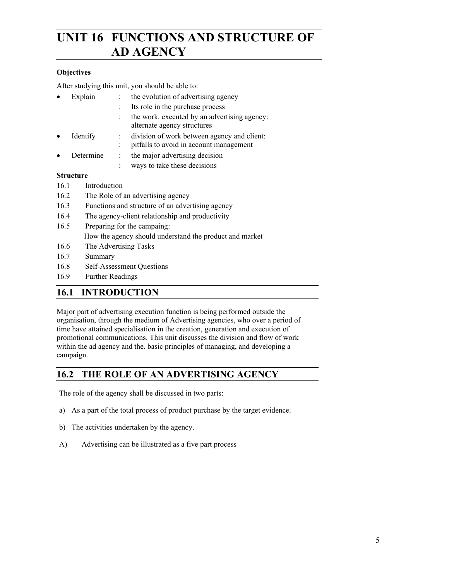# **UNIT 16 FUNCTIONS AND STRUCTURE OF AD AGENCY**

# **Objectives**

After studying this unit, you should be able to:

- Explain : the evolution of advertising agency
	- Its role in the purchase process
		- : the work. executed by an advertising agency: alternate agency structures
- Identify : division of work between agency and client:
- : pitfalls to avoid in account management
- Determine : the major advertising decision
- ways to take these decisions

# **Structure**

- 16.1 Introduction
- 16.2 The Role of an advertising agency
- 16.3 Functions and structure of an advertising agency
- 16.4 The agency-client relationship and productivity
- 16.5 Preparing for the campaing: How the agency should understand the product and market
- 16.6 The Advertising Tasks
- 16.7 Summary
- 16.8 Self-Assessment Questions
- 16.9 Further Readings

# **16.1 INTRODUCTION**

Major part of advertising execution function is being performed outside the organisation, through the medium of Advertising agencies, who over a period of time have attained specialisation in the creation, generation and execution of promotional communications. This unit discusses the division and flow of work within the ad agency and the. basic principles of managing, and developing a campaign.

# **16.2 THE ROLE OF AN ADVERTISING AGENCY**

The role of the agency shall be discussed in two parts:

- a) As a part of the total process of product purchase by the target evidence.
- b) The activities undertaken by the agency.
- A) Advertising can be illustrated as a five part process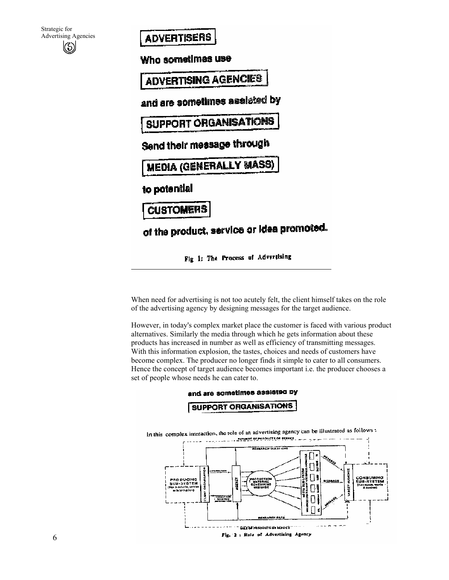| Strategic for               |
|-----------------------------|
| <b>Advertising Agencies</b> |
| $\circledS$                 |
|                             |

# **ADVERTISERS**

Who sometimes use

**ADVERTISING AGENCIES** 

and are sometimes assisted by

SUPPORT ORGANISATIONS

Send their message through

**MEDIA (GENERALLY MASS)** 

to potential

**CUSTOMERS** 

of the product, service or idea promoted.

Fig 1: The Process of Advertising

When need for advertising is not too acutely felt, the client himself takes on the role of the advertising agency by designing messages for the target audience.

However, in today's complex market place the customer is faced with various product alternatives. Similarly the media through which he gets information about these products has increased in number as well as efficiency of transmitting messages. With this information explosion, the tastes, choices and needs of customers have become complex. The producer no longer finds it simple to cater to all consumers. Hence the concept of target audience becomes important i.e. the producer chooses a set of people whose needs he can cater to.

#### and are sometimes assisted by



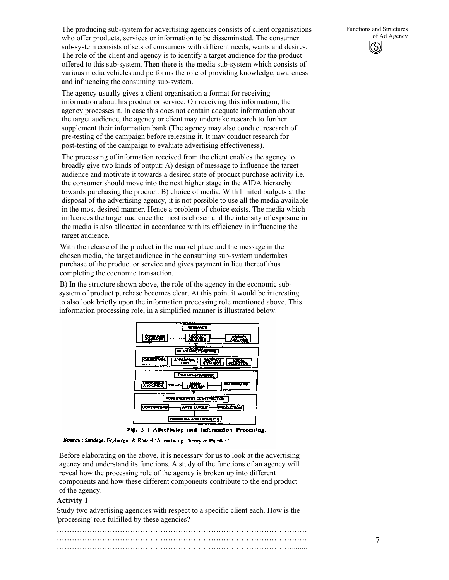The producing sub-system for advertising agencies consists of client organisations who offer products, services or information to be disseminated. The consumer sub-system consists of sets of consumers with different needs, wants and desires. The role of the client and agency is to identify a target audience for the product offered to this sub-system. Then there is the media sub-system which consists of various media vehicles and performs the role of providing knowledge, awareness and influencing the consuming sub-system.

The agency usually gives a client organisation a format for receiving information about his product or service. On receiving this information, the agency processes it. In case this does not contain adequate information about the target audience, the agency or client may undertake research to further supplement their information bank (The agency may also conduct research of pre-testing of the campaign before releasing it. It may conduct research for post-testing of the campaign to evaluate advertising effectiveness).

The processing of information received from the client enables the agency to broadly give two kinds of output: A) design of message to influence the target audience and motivate it towards a desired state of product purchase activity i.e. the consumer should move into the next higher stage in the AIDA hierarchy towards purchasing the product. B) choice of media. With limited budgets at the disposal of the advertising agency, it is not possible to use all the media available in the most desired manner. Hence a problem of choice exists. The media which influences the target audience the most is chosen and the intensity of exposure in the media is also allocated in accordance with its efficiency in influencing the target audience.

With the release of the product in the market place and the message in the chosen media, the target audience in the consuming sub-system undertakes purchase of the product or service and gives payment in lieu thereof thus completing the economic transaction.

B) In the structure shown above, the role of the agency in the economic subsystem of product purchase becomes clear. At this point it would be interesting to also look briefly upon the information processing role mentioned above. This information processing role, in a simplified manner is illustrated below.



Fig. 3 : Advertising and Information Processing.

Source : Sandage, Fryburger & Rotzol 'Advertising Theory & Practice'

Before elaborating on the above, it is necessary for us to look at the advertising agency and understand its functions. A study of the functions of an agency will reveal how the processing role of the agency is broken up into different components and how these different components contribute to the end product of the agency.

#### **Activity 1**

Study two advertising agencies with respect to a specific client each. How is the 'processing' role fulfilled by these agencies?

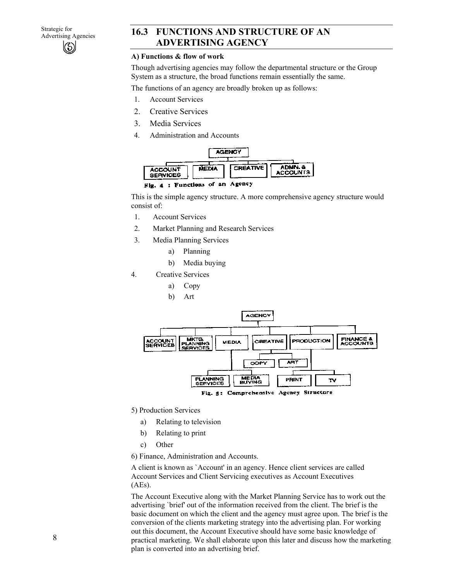# 16.3 FUNCTIONS AND STRUCTURE OF AN **ADVERTISING AGENCY**

# **A) Functions & flow of work**

Though advertising agencies may follow the departmental structure or the Group System as a structure, the broad functions remain essentially the same.

The functions of an agency are broadly broken up as follows:

- 1. Account Services
- 2. Creative Services
- 3. Media Services
- 4. Administration and Accounts





This is the simple agency structure. A more comprehensive agency structure would consist of:

- 1. Account Services
- 2. Market Planning and Research Services
- 3. Media Planning Services
	- a) Planning
	- b) Media buying
- 4. Creative Services
	- a) Copy
	- b) Art



- 5) Production Services
	- a) Relating to television
	- b) Relating to print
	- c) Other
- 6) Finance, Administration and Accounts.

A client is known as `Account' in an agency. Hence client services are called Account Services and Client Servicing executives as Account Executives (AEs).

The Account Executive along with the Market Planning Service has to work out the advertising `brief' out of the information received from the client. The brief is the basic document on which the client and the agency must agree upon. The brief is the conversion of the clients marketing strategy into the advertising plan. For working out this document, the Account Executive should have some basic knowledge of practical marketing. We shall elaborate upon this later and discuss how the marketing plan is converted into an advertising brief.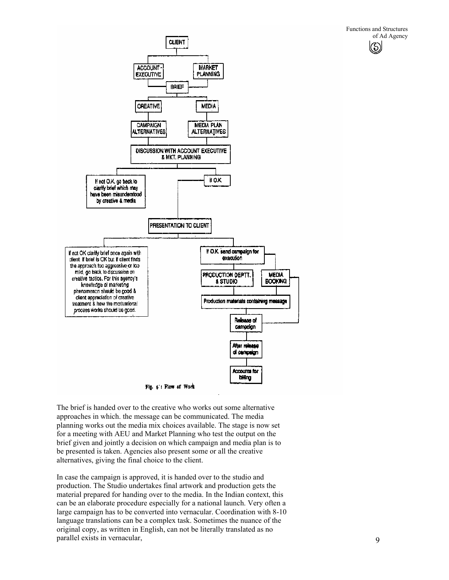

The brief is handed over to the creative who works out some alternative approaches in which. the message can be communicated. The media planning works out the media mix choices available. The stage is now set for a meeting with AEU and Market Planning who test the output on the brief given and jointly a decision on which campaign and media plan is to be presented is taken. Agencies also present some or all the creative alternatives, giving the final choice to the client.

In case the campaign is approved, it is handed over to the studio and production. The Studio undertakes final artwork and production gets the material prepared for handing over to the media. In the Indian context, this can be an elaborate procedure especially for a national launch. Very often a large campaign has to be converted into vernacular. Coordination with 8-10 language translations can be a complex task. Sometimes the nuance of the original copy, as written in English, can not be literally translated as no parallel exists in vernacular,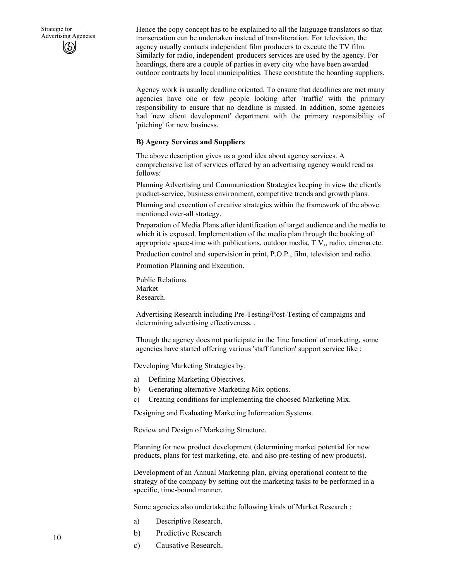Hence the copy concept has to be explained to all the language translators so that transcreation can be undertaken instead of transliteration. For television, the agency usually contacts independent film producers to execute the TV film. Similarly for radio, independent producers services are used by the agency. For hoardings, there are a couple of parties in every city who have been awarded outdoor contracts by local municipalities. These constitute the hoarding suppliers.

Agency work is usually deadline oriented. To ensure that deadlines are met many agencies have one or few people looking after `traffic' with the primary responsibility to ensure that no deadline is missed. In addition, some agencies had 'new client development' department with the primary responsibility of 'pitching' for new business.

#### **B) Agency Services and Suppliers**

The above description gives us a good idea about agency services. A comprehensive list of services offered by an advertising agency would read as follows:

Planning Advertising and Communication Strategies keeping in view the client's product-service, business environment, competitive trends and growth plans.

Planning and execution of creative strategies within the framework of the above mentioned over-all strategy.

Preparation of Media Plans after identification of target audience and the media to which it is exposed. Implementation of the media plan through the booking of appropriate space-time with publications, outdoor media, T.V,, radio, cinema etc.

Production control and supervision in print, P.O.P., film, television and radio.

Promotion Planning and Execution.

Public Relations. Market Research.

Advertising Research including Pre-Testing/Post-Testing of campaigns and determining advertising effectiveness. .

Though the agency does not participate in the 'line function' of marketing, some agencies have started offering various 'staff function' support service like :

Developing Marketing Strategies by:

- a) Defining Marketing Objectives.
- b) Generating alternative Marketing Mix options.
- c) Creating conditions for implementing the choosed Marketing Mix.

Designing and Evaluating Marketing Information Systems.

Review and Design of Marketing Structure.

Planning for new product development (determining market potential for new products, plans for test marketing, etc. and also pre-testing of new products).

Development of an Annual Marketing plan, giving operational content to the strategy of the company by setting out the marketing tasks to be performed in a specific, time-bound manner.

Some agencies also undertake the following kinds of Market Research :

- a) Descriptive Research.
- b) Predictive Research
- c) Causative Research.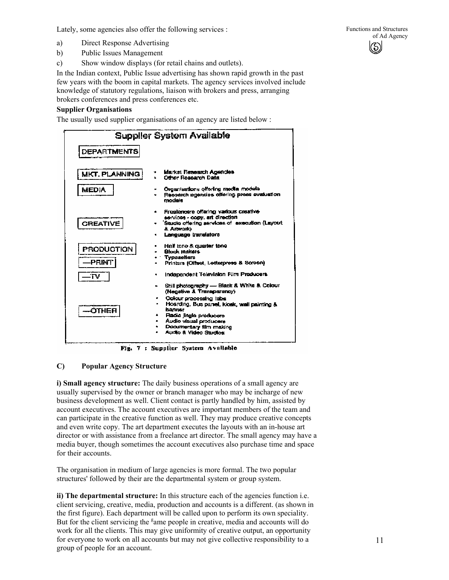Lately, some agencies also offer the following services :

- a) Direct Response Advertising
- b) Public Issues Management
- c) Show window displays (for retail chains and outlets).

In the Indian context, Public Issue advertising has shown rapid growth in the past few years with the boom in capital markets. The agency services involved include knowledge of statutory regulations, liaison with brokers and press, arranging brokers conferences and press conferences etc.

# **Supplier Organisations**

The usually used supplier organisations of an agency are listed below :



Fig. 7 : Supplier System Available

# **C) Popular Agency Structure**

**i) Small agency structure:** The daily business operations of a small agency are usually supervised by the owner or branch manager who may be incharge of new business development as well. Client contact is partly handled by him, assisted by account executives. The account executives are important members of the team and can participate in the creative function as well. They may produce creative concepts and even write copy. The art department executes the layouts with an in-house art director or with assistance from a freelance art director. The small agency may have a media buyer, though sometimes the account executives also purchase time and space for their accounts.

The organisation in medium of large agencies is more formal. The two popular structures' followed by their are the departmental system or group system.

**ii) The departmental structure:** In this structure each of the agencies function i.e. client servicing, creative, media, production and accounts is a different. (as shown in the first figure). Each department will be called upon to perform its own speciality. But for the client servicing the <sup>g</sup>ame people in creative, media and accounts will do work for all the clients. This may give uniformity of creative output, an opportunity for everyone to work on all accounts but may not give collective responsibility to a group of people for an account.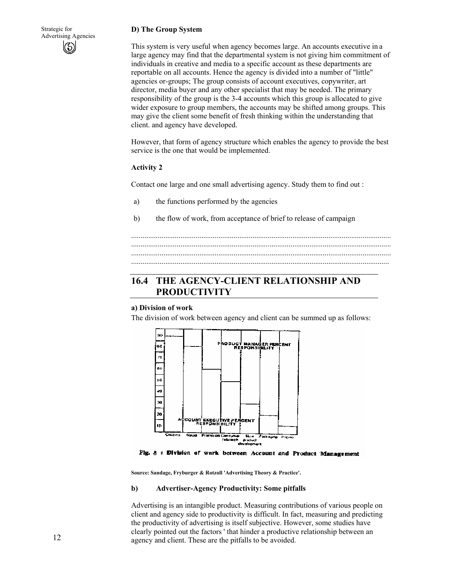#### **D) The Group System**

This system is very useful when agency becomes large. An accounts executive in a large agency may find that the departmental system is not giving him commitment of individuals in creative and media to a specific account as these departments are reportable on all accounts. Hence the agency is divided into a number of "little" agencies or-groups; The group consists of account executives, copywriter, art director, media buyer and any other specialist that may be needed. The primary responsibility of the group is the 3-4 accounts which this group is allocated to give wider exposure to group members, the accounts may be shifted among groups. This may give the client some benefit of fresh thinking within the understanding that client. and agency have developed.

However, that form of agency structure which enables the agency to provide the best service is the one that would be implemented.

......................................................................................................................................... ......................................................................................................................................... .........................................................................................................................................

#### **Activity 2**

Contact one large and one small advertising agency. Study them to find out :

- a) the functions performed by the agencies
- b) the flow of work, from acceptance of brief to release of campaign

# ........................................................................................................................................ **16.4 THE AGENCY-CLIENT RELATIONSHIP AND PRODUCTIVITY**

#### **a) Division of work**

The division of work between agency and client can be summed up as follows:



Fig. 8 : Division of work between Account and Product Management

**Source: Sandage, Fryburger & Rotzoll 'Advertising Theory & Practice'.** 

#### **b) Advertiser-Agency Productivity: Some pitfalls**

Advertising is an intangible product. Measuring contributions of various people on client and agency side to productivity is difficult. In fact, measuring and predicting the productivity of advertising is itself subjective. However, some studies have clearly pointed out the factors ' that hinder a productive relationship between an agency and client. These are the pitfalls to be avoided.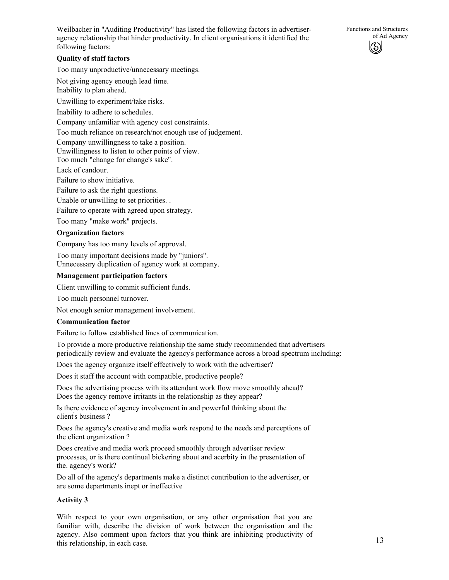Functions and Structures of Ad Agency

Weilbacher in "Auditing Productivity" has listed the following factors in advertiseragency relationship that hinder productivity. In client organisations it identified the following factors:

#### **Quality of staff factors**

Too many unproductive/unnecessary meetings.

Not giving agency enough lead time. Inability to plan ahead.

Unwilling to experiment/take risks.

Inability to adhere to schedules.

Company unfamiliar with agency cost constraints.

Too much reliance on research/not enough use of judgement.

Company unwillingness to take a position.

Unwillingness to listen to other points of view.

Too much "change for change's sake".

Lack of candour.

Failure to show initiative.

Failure to ask the right questions.

Unable or unwilling to set priorities. .

Failure to operate with agreed upon strategy.

Too many "make work" projects.

#### **Organization factors**

Company has too many levels of approval.

Too many important decisions made by "juniors". Unnecessary duplication of agency work at company.

#### **Management participation factors**

Client unwilling to commit sufficient funds.

Too much personnel turnover.

Not enough senior management involvement.

#### **Communication factor**

Failure to follow established lines of communication.

To provide a more productive relationship the same study recommended that advertisers periodically review and evaluate the agency' s performance across a broad spectrum including:

Does the agency organize itself effectively to work with the advertiser?

Does it staff the account with compatible, productive people?

Does the advertising process with its attendant work flow move smoothly ahead? Does the agency remove irritants in the relationship as they appear?

Is there evidence of agency involvement in and powerful thinking about the client' s business ?

Does the agency's creative and media work respond to the needs and perceptions of the client organization ?

Does creative and media work proceed smoothly through advertiser review processes, or is there continual bickering about and acerbity in the presentation of the. agency's work?

Do all of the agency's departments make a distinct contribution to the advertiser, or are some departments inept or ineffective

#### **Activity 3**

With respect to your own organisation, or any other organisation that you are familiar with, describe the division of work between the organisation and the agency. Also comment upon factors that you think are inhibiting productivity of this relationship, in each case.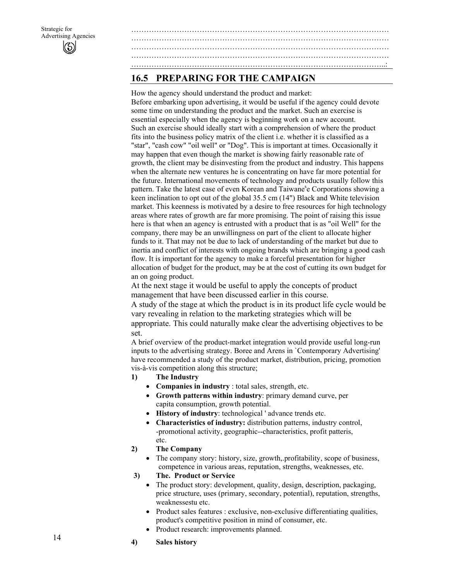# **16.5 PREPARING FOR THE CAMPAIGN**

How the agency should understand the product and market: Before embarking upon advertising, it would be useful if the agency could devote some time on understanding the product and the market. Such an exercise is essential especially when the agency is beginning work on a new account. Such an exercise should ideally start with a comprehension of where the product fits into the business policy matrix of the client i.e. whether it is classified as a "star", "cash cow" "oil well" or "Dog". This is important at times. Occasionally it may happen that even though the market is showing fairly reasonable rate of growth, the client may be disinvesting from the product and industry. This happens when the alternate new ventures he is concentrating on have far more potential for the future. International movements of technology and products usually follow this pattern. Take the latest case of even Korean and Taiwane's Corporations showing a keen inclination to opt out of the global 35.5 cm (14") Black and White television market. This keenness is motivated by a desire to free resources for high technology areas where rates of growth are far more promising. The point of raising this issue here is that when an agency is entrusted with a product that is as "oil Well" for the company, there may be an unwillingness on part of the client to allocate higher funds to it. That may not be due to lack of understanding of the market but due to inertia and conflict of interests with ongoing brands which are bringing a good cash flow. It is important for the agency to make a forceful presentation for higher allocation of budget for the product, may be at the cost of cutting its own budget for an on going product.

…………………………………………………………………………………………

………………………………………………………………………………………… ………………………………………………………………………………………… ………………………………………………………………………………………..:

At the next stage it would be useful to apply the concepts of product management that have been discussed earlier in this course.

A study of the stage at which the product is in its product life cycle would be vary revealing in relation to the marketing strategies which will be appropriate. This could naturally make clear the advertising objectives to be set.

A brief overview of the product-market integration would provide useful long-run inputs to the advertising strategy. Boree and Arens in `Contemporary Advertising' have recommended a study of the product market, distribution, pricing, promotion vis-à-vis competition along this structure;

- **1) The Industry** 
	- **Companies in industry** : total sales, strength, etc.
	- **Growth patterns within industry**: primary demand curve, per capita consumption, growth potential.
	- **History of industry**: technological ' advance trends etc.
	- **Characteristics of industry:** distribution patterns, industry control, -promotional activity, geographic--characteristics, profit patteris, etc.
- **2) The Company** 
	- The company story: history, size, growth,.profitability, scope of business, competence in various areas, reputation, strengths, weaknesses, etc.
- **3) The. Product or Service** 
	- The product story: development, quality, design, description, packaging, price structure, uses (primary, secondary, potential), reputation, strengths, weaknessestu etc.
	- Product sales features : exclusive, non-exclusive differentiating qualities, product's competitive position in mind of consumer, etc.
	- Product research: improvements planned.
- **4) Sales history**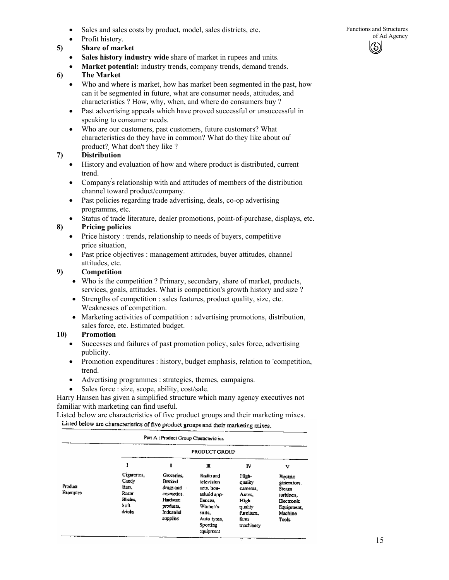- Sales and sales costs by product, model, sales districts, etc. Functions and Structures of Ad Agency
- Profit history.
- **5) Share of market** 
	- Sales history industry wide share of market in rupees and units.
	- **Market potential:** industry trends, company trends, demand trends.

# **6) The Market**

- Who and where is market, how has market been segmented in the past, how can it be segmented in future, what are consumer needs, attitudes, and characteristics ? How, why, when, and where do consumers buy ?
- Past advertising appeals which have proved successful or unsuccessful in speaking to consumer needs.
- Who are our customers, past customers, future customers? What characteristics do they have in common? What do they like about our product?, What don't they like ?

# **7) Distribution**

- History and evaluation of how and where product is distributed, current trend.
- Company' s relationship with and attitudes of members of the distribution channel toward product/company.
- Past policies regarding trade advertising, deals, co-op advertising programms, etc.
- Status of trade literature, dealer promotions, point-of-purchase, displays, etc. **8) Pricing policies** 
	- Price history : trends, relationship to needs of buyers, competitive price situation,
	- Past price objectives : management attitudes, buyer attitudes, channel attitudes, etc.

# **9) Competition**

- Who is the competition ? Primary, secondary, share of market, products, services, goals, attitudes. What is competition's growth history and size ?
- Strengths of competition : sales features, product quality, size, etc. Weaknesses of competition.
- Marketing activities of competition : advertising promotions, distribution, sales force, etc. Estimated budget.

# **10) Promotion**

- Successes and failures of past promotion policy, sales force, advertising publicity.
- Promotion expenditures : history, budget emphasis, relation to 'competition, trend.
- Advertising programmes : strategies, themes, campaigns.
- Sales force : size, scope, ability, cost/sale.

Harry Hansen has given a simplified structure which many agency executives not familiar with marketing can find useful.

Listed below are characteristics of five product groups and their marketing mixes.

Listed below are characteristics of five product groups and their marketing mixes,

|                            |                                                                          | Part A : Product Group Characteristics                                                                     |                                                                                                                               |                                                                                                    |                                                                                               |
|----------------------------|--------------------------------------------------------------------------|------------------------------------------------------------------------------------------------------------|-------------------------------------------------------------------------------------------------------------------------------|----------------------------------------------------------------------------------------------------|-----------------------------------------------------------------------------------------------|
|                            | PRODUCT GROUP                                                            |                                                                                                            |                                                                                                                               |                                                                                                    |                                                                                               |
|                            |                                                                          | I                                                                                                          | Ш                                                                                                                             | IV                                                                                                 | v                                                                                             |
| Product<br><b>Examples</b> | Cigarenes,<br>Candy<br>Hars.<br>Razor<br><b>Blades</b><br>Soft<br>drinks | Groceries.<br>Branded<br>drugs and<br>cosmetics.<br><b>Hardware</b><br>products.<br>Industrial<br>supplies | Radio and<br>television<br>sets, hou-<br>sehold app-<br>liances.<br>Women's<br>suits.<br>Auto tyres,<br>Sporting<br>equipment | High-<br>quality<br>camoras.<br>Autos,<br>High<br><b>quality</b><br>fumiture.<br>fann<br>machinery | Electric<br>generators,<br>Steam<br>turbines,<br>Electronic<br>Equipment,<br>Machino<br>Tools |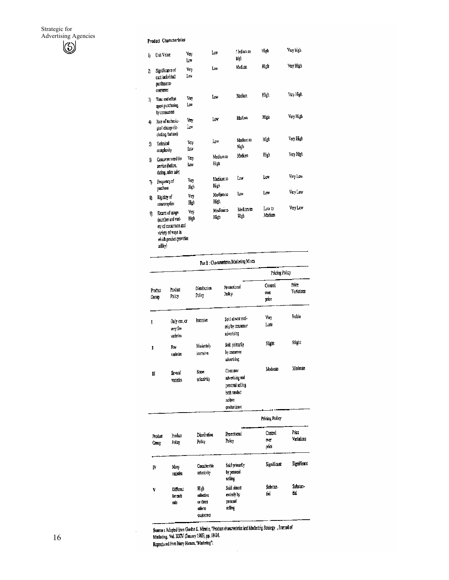#### **Product Characteristics**

 $\bar{z}$ 

| l} | Unit Value                                                                                                                      | Vay<br>lω    | Low               | -ledium to<br>hiph | High             | Very high |
|----|---------------------------------------------------------------------------------------------------------------------------------|--------------|-------------------|--------------------|------------------|-----------|
| η  | Significance of<br>each individual<br>purchase to<br><b>CONSULTICI</b>                                                          | Very<br>Lиv  | Low               | Medium             | High-            | Very High |
| 3) | Time and effort<br>spent putchasing<br>by consumers                                                                             | Vav<br>Low   | Low               | Medium             | High             | Very High |
| 4) | Rate of technolo-<br>gical change (in-<br>cluding fashion)                                                                      | Voy<br>Low   | Low               | Medium             | High             | Very High |
| 5) | Technical<br>complexity                                                                                                         | Very<br>Low  | Low               | Medium IO<br>High  | High             | Very High |
| Q, | Consumer need for<br>service (before,<br>during, after sale)                                                                    | Viry<br>Low  | Medium to<br>High | Medium             | High             | Very High |
| 7) | Frequency of<br>pachase                                                                                                         | Verv<br>High | Medium to<br>High | Liw                | Low              | Very Low  |
| 8) | Ricidity of<br>consumption                                                                                                      | Very<br>High | Medium Io<br>High | low                | Low              | Verv Low  |
| 9) | <b>Extent of usage</b><br>(number and vari-<br>ety of consumers and<br>variety of ways in<br>which product provides<br>utility) | Ver,<br>High | Medium to<br>High | Medium to<br>High  | Luw to<br>Medium | Very Low  |

| ----- |                                         |  |
|-------|-----------------------------------------|--|
|       | Part B: Characteristics/Marketing Mixes |  |

|                  |                                       | Distribution<br>Policy                   |                                                                                            | Pricing Policy                 |                     |  |
|------------------|---------------------------------------|------------------------------------------|--------------------------------------------------------------------------------------------|--------------------------------|---------------------|--|
| Product<br>Group | Product<br>Policy                     |                                          | Promotional<br>Policy                                                                      | Control<br>over<br>price       | Price<br>Variations |  |
| ſ                | Only one, or<br>very few<br>varieties | Intensive                                | Sold almost enti-<br>rely by consumer<br>advertising                                       | Very<br>Little                 | Stable              |  |
| I                | Fow<br>varieties                      | Moderately<br>intensive                  | Sold primarily<br>by consumer<br>advertising                                               | Slight                         | Slight              |  |
| Ш                | Several<br>varieties                  | Some<br>selectivity                      | Consumer<br>advertising and<br>personal selling<br>both needed:<br>neither<br>-predominant | Moderate                       | Moderate            |  |
|                  |                                       |                                          |                                                                                            | Pricing Policy                 |                     |  |
| Product<br>Croup | Product<br>Policy                     | <b>Distribution</b><br>Policy            | Promotional<br>Policy                                                                      | Coatrol<br><b>OVE</b><br>price | Price<br>Variations |  |
| IV               | Many<br>varieties                     | Considerable<br>selectivity              | Sold printerlly<br>by personal.<br>selling                                                 | Significant                    | Significant         |  |
| V                | Different<br>for exh<br>sale          | High<br>salactive<br>or direct<br>saleto | Sold almost<br>entirely by<br>DEISORA<br>selling                                           | Substan-<br>tial               | Substan-<br>tial    |  |

Source : Adopted from Gordon E. Mirnele, "Product characteristics and Marketing Strategy , Journal of Marketing, Vol. XXIV (January 1965), pp. 18-24.<br>Reproduced from Harry Eansen, "Marketing".

customers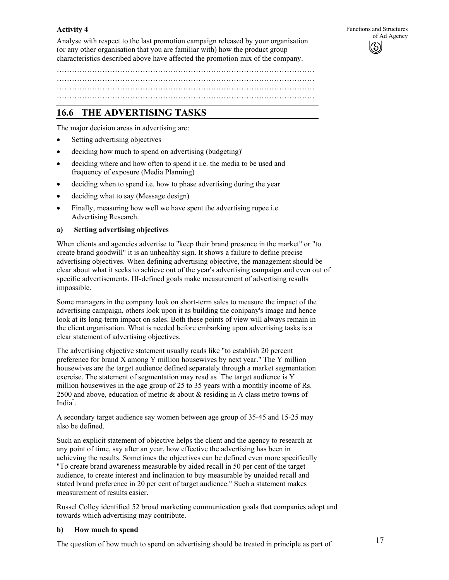#### **Activity 4**

Analyse with respect to the last promotion campaign released by your organisation (or any other organisation that you are familiar with) how the product group characteristics described above have affected the promotion mix of the company.

………………………………………………………………………………………… …………………………………………………………………………………………

…………………………………………………………………………………………

# **16.6 THE ADVERTISING TASKS**

The major decision areas in advertising are:

- Setting advertising objectives
- deciding how much to spend on advertising (budgeting)'
- deciding where and how often to spend it i.e. the media to be used and frequency of exposure (Media Planning)
- deciding when to spend i.e. how to phase advertising during the year
- deciding what to say (Message design)
- Finally, measuring how well we have spent the advertising rupee i.e. Advertising Research.

#### **a) Setting advertising objectives**

When clients and agencies advertise to "keep their brand presence in the market" or "to create brand goodwill" it is an unhealthy sign. It shows a failure to define precise advertising objectives. When defining advertising objective, the management should be clear about what it seeks to achieve out of the year's advertising campaign and even out of specific advertisements. III-defined goals make measurement of advertising results impossible.

Some managers in the company look on short-term sales to measure the impact of the advertising campaign, others look upon it as building the conipany's image and hence look at its long-term impact on sales. Both these points of view will always remain in the client organisation. What is needed before embarking upon advertising tasks is a clear statement of advertising objectives.

The advertising objective statement usually reads like "to establish 20 percent preference for brand X among Y million housewives by next year." The Y million housewives are the target audience defined separately through a market segmentation exercise. The statement of segmentation may read as " The target audience is Y million housewives in the age group of 25 to 35 years with a monthly income of Rs. 2500 and above, education of metric & about & residing in A class metro towns of India" .

A secondary target audience say women between age group of 35-45 and 15-25 may also be defined.

Such an explicit statement of objective helps the client and the agency to research at any point of time, say after an year, how effective the advertising has been in achieving the results. Sometimes the objectives can be defined even more specifically "To create brand awareness measurable by aided recall in 50 per cent of the target audience, to create interest and inclination to buy measurable by unaided recall and stated brand preference in 20 per cent of target audience." Such a statement makes measurement of results easier.

Russel Colley identified 52 broad marketing communication goals that companies adopt and towards which advertising may contribute.

#### **b) How much to spend**

The question of how much to spend on advertising should be treated in principle as part of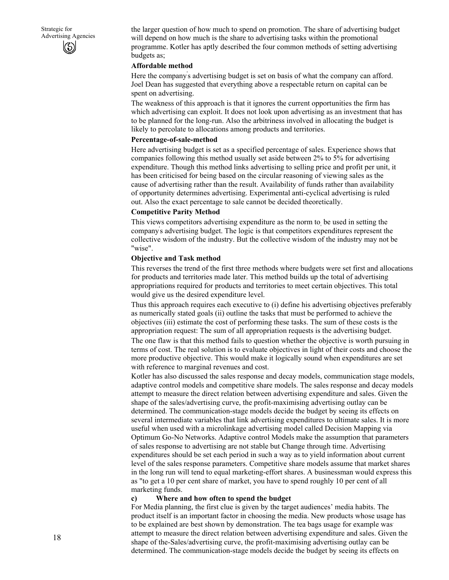the larger question of how much to spend on promotion. The share of advertising budget will depend on how much is the share to advertising tasks within the promotional programme. Kotler has aptly described the four common methods of setting advertising budgets as;

#### **Affordable method**

Here the company' s advertising budget is set on basis of what the company can afford. Joel Dean has suggested that everything above a respectable return on capital can be spent on advertising.

The weakness of this approach is that it ignores the current opportunities the firm has which advertising can exploit. It does not look upon advertising as an investment that has to be planned for the long-run. Also the arbitriness involved in allocating the budget is likely to percolate to allocations among products and territories.

#### **Percentage-of-sale-method**

Here advertising budget is set as a specified percentage of sales. Experience shows that companies following this method usually set aside between 2% to 5% for advertising expenditure. Though this method links advertising to selling price and profit per unit, it has been criticised for being based on the circular reasoning of viewing sales as the cause of advertising rather than the result. Availability of funds rather than availability of opportunity determines advertising. Experimental anti-cyclical advertising is ruled out. Also the exact percentage to sale cannot be decided theoretically.

#### **Competitive Parity Method**

This views competitors advertising expenditure as the norm to, be used in setting the company' s advertising budget. The logic is that competitors expenditures represent the collective wisdom of the industry. But the collective wisdom of the industry may not be "wise".

#### **Objective and Task method**

This reverses the trend of the first three methods where budgets were set first and allocations for products and territories made later. This method builds up the total of advertising appropriations required for products and territories to meet certain objectives. This total would give us the desired expenditure level.

Thus this approach requires each executive to (i) define his advertising objectives preferably as numerically stated goals (ii) outline the tasks that must be performed to achieve the objectives (iii) estimate the cost of performing these tasks. The sum of these costs is the appropriation request: The sum of all appropriation requests is the advertising budget. The one flaw is that this method fails to question whether the objective is worth pursuing in terms of cost. The real solution is to evaluate objectives in light of their costs and choose the more productive objective. This would make it logically sound when expenditures are set with reference to marginal revenues and cost.

Kotler has also discussed the sales response and decay models, communication stage models, adaptive control models and competitive share models. The sales response and decay models attempt to measure the direct relation between advertising expenditure and sales. Given the shape of the sales/advertising curve, the profit-maximising advertising outlay can be determined. The communication-stage models decide the budget by seeing its effects on several intermediate variables that link advertising expenditures to ultimate sales. It is more useful when used with a microlinkage advertising model called Decision Mapping via Optimum Go-No Networks. Adaptive control Models make the assumption that parameters of sales response to advertising are not stable but Change through time. Advertising expenditures should be set each period in such a way as to yield information about current level of the sales response parameters. Competitive share models assume that market shares in the long run will tend to equal marketing-effort shares. A businessman would express this as "to get a 10 per cent share of market, you have to spend roughly 10 per cent of all marketing funds.

#### **c) Where and how often to spend the budget**

For Media planning, the first clue is given by the target audiences' media habits. The product itself is an important factor in choosing the media. New products whose usage has to be explained are best shown by demonstration. The tea bags usage for example was. attempt to measure the direct relation between advertising expenditure and sales. Given the shape of the-Sales/advertising curve, the profit-maximising advertising outlay can be determined. The communication-stage models decide the budget by seeing its effects on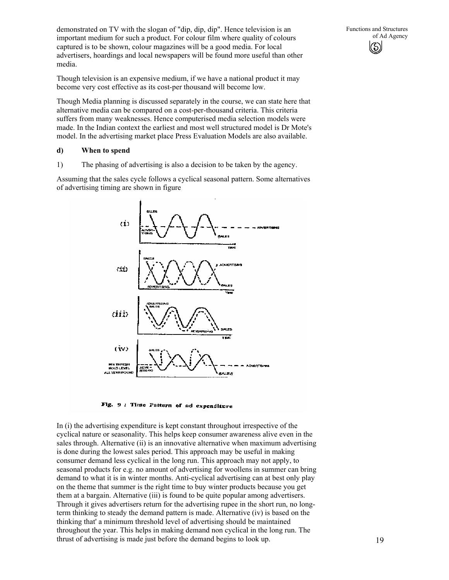demonstrated on TV with the slogan of "dip, dip, dip". Hence television is an important medium for such a product. For colour film where quality of colours captured is to be shown, colour magazines will be a good media. For local advertisers, hoardings and local newspapers will be found more useful than other media.

Though television is an expensive medium, if we have a national product it may become very cost effective as its cost-per thousand will become low.

Though Media planning is discussed separately in the course, we can state here that alternative media can be compared on a cost-per-thousand criteria. This criteria suffers from many weaknesses. Hence computerised media selection models were made. In the Indian context the earliest and most well structured model is Dr Mote's model. In the advertising market place Press Evaluation Models are also available.

#### **d) When to spend**

1) The phasing of advertising is also a decision to be taken by the agency.

Assuming that the sales cycle follows a cyclical seasonal pattern. Some alternatives of advertising timing are shown in figure



Fig. 9: Time Pattern of ad expenditure

In (i) the advertising expenditure is kept constant throughout irrespective of the cyclical nature or seasonality. This helps keep consumer awareness alive even in the sales through. Alternative (ii) is an innovative alternative when maximum advertising is done during the lowest sales period. This approach may be useful in making consumer demand less cyclical in the long run. This approach may not apply, to seasonal products for e.g. no amount of advertising for woollens in summer can bring demand to what it is in winter months. Anti-cyclical advertising can at best only play on the theme that summer is the right time to buy winter products because you get them at a bargain. Alternative (iii) is found to be quite popular among advertisers. Through it gives advertisers return for the advertising rupee in the short run, no longterm thinking to steady the demand pattern is made. Alternative (iv) is based on the thinking that' a minimum threshold level of advertising should be maintained throughout the year. This helps in making demand non cyclical in the long run. The thrust of advertising is made just before the demand begins to look up.

Functions and Structures

of Ad Agency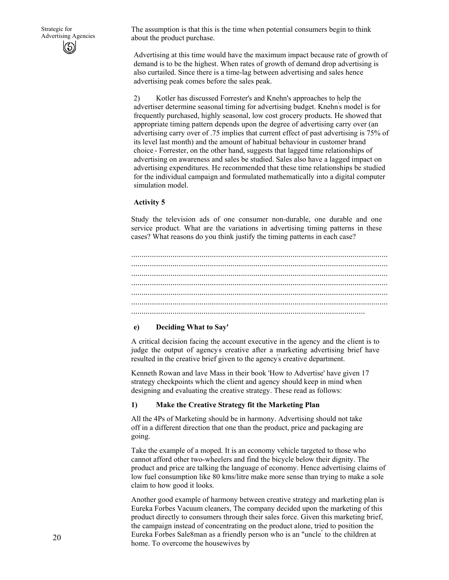The assumption is that this is the time when potential consumers begin to think about the product purchase.

Advertising at this time would have the maximum impact because rate of growth of demand is to be the highest. When rates of growth of demand drop advertising is also curtailed. Since there is a time-lag between advertising and sales hence advertising peak comes before the sales peak.

2) Kotler has discussed Forrester's and Knehn's approaches to help the advertiser determine seasonal timing for advertising budget. Knehn' s model is for frequently purchased, highly seasonal, low cost grocery products. He showed that appropriate timing pattern depends upon the degree of advertising carry over (an advertising carry over of .75 implies that current effect of past advertising is 75% of its level last month) and the amount of habitual behaviour in customer brand choice.- Forrester, on the other hand, suggests that lagged time relationships of advertising on awareness and sales be studied. Sales also have a lagged impact on advertising expenditures. He recommended that these time relationships be studied for the individual campaign and formulated mathematically into a digital computer simulation model.

#### **Activity 5**

Study the television ads of one consumer non-durable, one durable and one service product. What are the variations in advertising timing patterns in these cases? What reasons do you think justify the timing patterns in each case?

............................................................................................................................ ............................................................................................................................ ............................................................................................................................ ............................................................................................................................ ............................................................................................................................ ............................................................................................................................ .................................................................................................................

#### **e) Deciding What to Say'**

A critical decision facing the account executive in the agency and the client is to judge the output of agency' s creative after a marketing advertising brief have resulted in the creative brief given to the agency' s creative department.

Kenneth Rowan and lave Mass in their book 'How to Advertise' have given 17 strategy checkpoints which the client and agency should keep in mind when designing and evaluating the creative strategy. These read as follows:

#### **1) Make the Creative Strategy fit the Marketing Plan**

All the 4Ps of Marketing should be in harmony. Advertising should not take off in a different direction that one than the product, price and packaging are going.

Take the example of a moped. It is an economy vehicle targeted to those who cannot afford other two-wheelers and find the bicycle below their dignity. The product and price are talking the language of economy. Hence advertising claims of low fuel consumption like 80 kms/litre make more sense than trying to make a sole claim to how good it looks.

Another good example of harmony between creative strategy and marketing plan is Eureka Forbes Vacuum cleaners, The company decided upon the marketing of this product directly to consumers through their sales force. Given this marketing brief, the campaign instead of concentrating on the product alone, tried to position the Eureka Forbes Sale8man as a friendly person who is an "uncle" to the children at home. To overcome the housewives by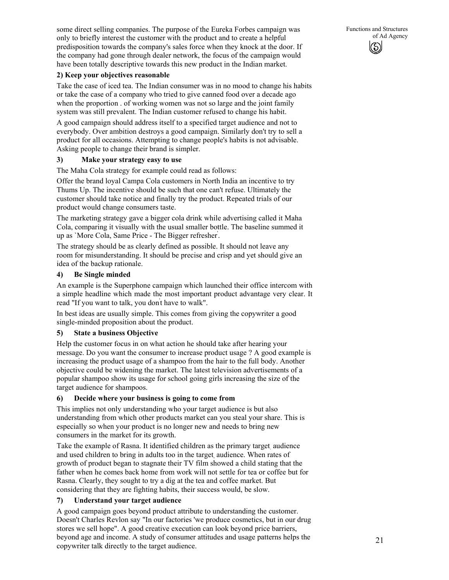some direct selling companies. The purpose of the Eureka Forbes campaign was only to briefly interest the customer with the product and to create a helpful predisposition towards the company's sales force when they knock at the door. If the company had gone through dealer network, the focus of the campaign would have been totally descriptive towards this new product in the Indian market.

# **2) Keep your objectives reasonable**

Take the case of iced tea. The Indian consumer was in no mood to change his habits or take the case of a company who tried to give canned food over a decade ago when the proportion . of working women was not so large and the joint family system was still prevalent. The Indian customer refused to change his habit.

A good campaign should address itself to a specified target audience and not to everybody. Over ambition destroys a good campaign. Similarly don't try to sell a product for all occasions. Attempting to change people's habits is not advisable. Asking people to change their brand is simpler.

# **3) Make your strategy easy to use**

The Maha Cola strategy for example could read as follows:

Offer the brand loyal Campa Cola customers in North India an incentive to try Thums Up. The incentive should be such that one can't refuse. Ultimately the customer should take notice and finally try the product. Repeated trials of our product would change consumers taste.

The marketing strategy gave a bigger cola drink while advertising called it Maha Cola, comparing it visually with the usual smaller bottle. The baseline summed it up as `More Cola, Same Price - The Bigger refresher' .

The strategy should be as clearly defined as possible. It should not leave any room for misunderstanding. It should be precise and crisp and yet should give an idea of the backup rationale.

# **4) Be Single minded**

An example is the Superphone campaign which launched their office intercom with a simple headline which made the most important product advantage very clear. It read "If you want to talk, you don't have to walk".

In best ideas are usually simple. This comes from giving the copywriter a good single-minded proposition about the product.

# **5) State a business Objective**

Help the customer focus in on what action he should take after hearing your message. Do you want the consumer to increase product usage ? A good example is increasing the product usage of a shampoo from the hair to the full body. Another objective could be widening the market. The latest television advertisements of a popular shampoo show its usage for school going girls increasing the size of the target audience for shampoos.

# **6) Decide where your business is going to come from**

This implies not only understanding who your target audience is but also understanding from which other products market can you steal your share. This is especially so when your product is no longer new and needs to bring new consumers in the market for its growth.

Take the example of Rasna. It identified children as the primary target. audience and used children to bring in adults too in the target, audience. When rates of growth of product began to stagnate their TV film showed a child stating that the father when he comes back home from work will not settle for tea or coffee but for Rasna. Clearly, they sought to try a dig at the tea and coffee market. But considering that they are fighting habits, their success would, be slow.

# **7) Understand your target audience**

A good campaign goes beyond product attribute to understanding the customer. Doesn't Charles Revlon say "In our factories 'we produce cosmetics, but in our drug stores we sell hope". A good creative execution can look beyond price barriers, beyond age and income. A study of consumer attitudes and usage patterns helps the copywriter talk directly to the target audience.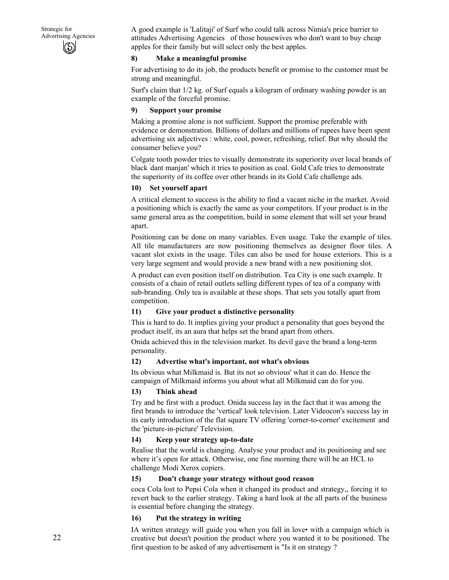A good example is 'Lalitaji' of Surf who could talk across Nimia's price barrier to attitudes Advertising Agencies of those housewives who don't want to buy cheap apples for their family but will select only the best apples.

# **8) Make a meaningful promise**

For advertising to do its job, the products benefit or promise to the customer must be strong and meaningful.

Surf's claim that 1/2 kg. of Surf equals a kilogram of ordinary washing powder is an example of the forceful promise.

#### **9) Support your promise**

Making a promise alone is not sufficient. Support the promise preferable with evidence or demonstration. Billions of dollars and millions of rupees have been spent advertising six adjectives : white, cool, power, refreshing, relief. But why should the consumer believe you?

Colgate tooth powder tries to visually demonstrate its superiority over local brands of black ' dant manjan' which it tries to position as coal. Gold Cafe tries to demonstrate the superiority of its coffee over other brands in its Gold Cafe challenge ads.

#### **10) Set yourself apart**

A critical element to success is the ability to find a vacant niche in the market. Avoid a positioning which is exactly the same as your competitors. If your product is in the same general area as the competition, build in some element that will set your brand apart.

Positioning can be done on many variables. Even usage. Take the example of tiles. All tile manufacturers are now positioning themselves as designer floor tiles. A vacant slot exists in the usage. Tiles can also be used for house exteriors. This is a very large segment and would provide a new brand with a new positioning slot.

A product can even position itself on distribution. Tea City is one such example. It consists of a chain of retail outlets selling different types of tea of a company with sub-branding. Only tea is available at these shops. That sets you totally apart from competition.

# **11) Give your product a distinctive personality**

This is hard to do. It implies giving your product a personality that goes beyond the product itself, its an aura that helps set the brand apart from others.

Onida achieved this in the television market. Its devil gave the brand a long-term personality.

#### **12) Advertise what's important, not what's obvious**

Its obvious what Milkmaid is. But its not so obvious' what it can do. Hence the campaign of Milkmaid informs you about what all Milkmaid can do for you.

#### **13) Think ahead**

Try and be first with a product. Onida success lay in the fact that it was among the first brands to introduce the 'vertical' look television. Later Videocon's success lay in its early introduction of the flat square TV offering 'corner-to-corner' excitement and the 'picture-in-picture' Television.

#### **14) Keep your strategy up-to-date**

Realise that the world is changing. Analyse your product and its positioning and see where it's open for attack. Otherwise, one fine morning there will be an HCL to challenge Modi Xerox copiers.

#### **15) Don't change your strategy without good reason**

coca Cola lost to Pepsi Cola when it changed its product and strategy,, forcing it to revert back to the earlier strategy. Taking a hard look at the all parts of the business is essential before changing the strategy.

# **16) Put the strategy in writing**

IA written strategy will guide you when you fall in love• with a campaign which is creative but doesn't position the product where you wanted it to be positioned. The first question to be asked of any advertisement is "Is it on strategy ?